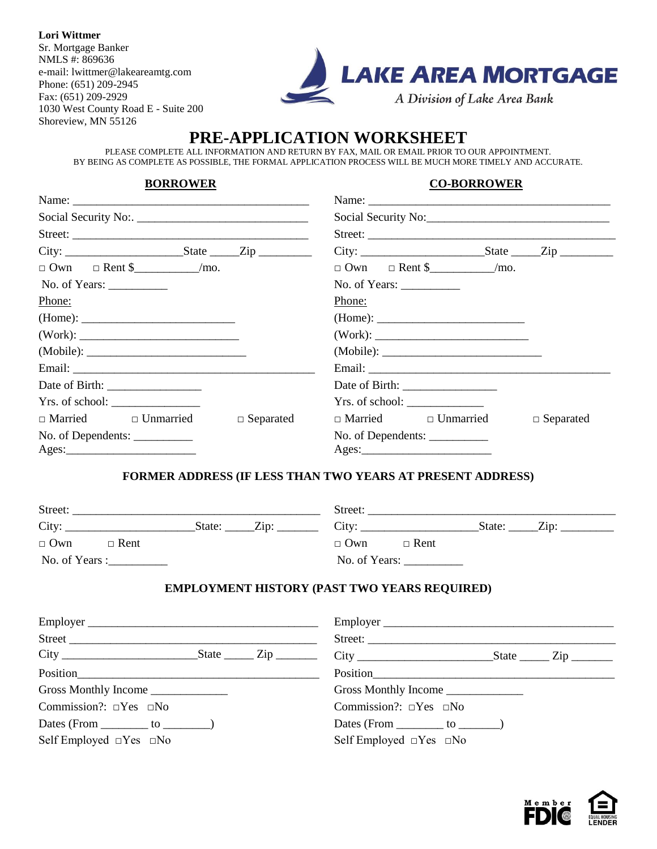**Lori Wittmer** Sr. Mortgage Banker NMLS #: 869636 e-mail: lwittmer@lakeareamtg.com Phone: (651) 209-2945 Fax: (651) 209-2929 1030 West County Road E - Suite 200 Shoreview, MN 55126



# **PRE-APPLICATION WORKSHEET**

PLEASE COMPLETE ALL INFORMATION AND RETURN BY FAX, MAIL OR EMAIL PRIOR TO OUR APPOINTMENT. BY BEING AS COMPLETE AS POSSIBLE, THE FORMAL APPLICATION PROCESS WILL BE MUCH MORE TIMELY AND ACCURATE.

#### **BORROWER CO-BORROWER**

| Name: $\frac{1}{2}$             |                  | Name:                           |                  |
|---------------------------------|------------------|---------------------------------|------------------|
|                                 |                  |                                 |                  |
|                                 |                  | Street:                         |                  |
|                                 |                  | $City:$ State $Zip$             |                  |
|                                 |                  | $\Box$ Own $\Box$ Rent \$ /mo.  |                  |
| No. of Years: $\_\_$            |                  | No. of Years: $\_\_$            |                  |
| Phone:                          |                  | Phone:                          |                  |
| (Home):                         |                  |                                 |                  |
|                                 |                  |                                 |                  |
|                                 |                  |                                 |                  |
|                                 |                  |                                 |                  |
|                                 |                  |                                 |                  |
| Yrs. of school:                 |                  |                                 |                  |
| $\Box$ Married $\Box$ Unmarried | $\Box$ Separated | $\Box$ Married $\Box$ Unmarried | $\Box$ Separated |
| No. of Dependents: ___________  |                  |                                 |                  |
| $\text{Ages:}\n \qquad \qquad$  |                  |                                 |                  |

#### **FORMER ADDRESS (IF LESS THAN TWO YEARS AT PRESENT ADDRESS)**

| Street:                   |                           | Street:                            |
|---------------------------|---------------------------|------------------------------------|
| City:                     | $\mathbf{Zip:}$<br>State: | City:<br>$\mathrm{Zip:}$<br>State: |
| $\Box$ Own<br>$\Box$ Rent |                           | $\Box$ Own<br>$\Box$ Rent          |
| No. of Years :            |                           | No. of Years:                      |

### **EMPLOYMENT HISTORY (PAST TWO YEARS REQUIRED)**

| Employer                                |  | Employer                                |  |
|-----------------------------------------|--|-----------------------------------------|--|
|                                         |  |                                         |  |
|                                         |  |                                         |  |
| Position                                |  |                                         |  |
| Gross Monthly Income ________________   |  | Gross Monthly Income                    |  |
| Commission?: $\square$ Yes $\square$ No |  | Commission?: $\square$ Yes $\square$ No |  |
| Dates (From $\_\_\_\_$ to $\_\_\_\_\_$  |  | Dates (From $\_\_\_\_$ to $\_\_\_\_$    |  |
| Self Employed $\Box$ Yes $\Box$ No      |  | Self Employed $\Box$ Yes $\Box$ No      |  |